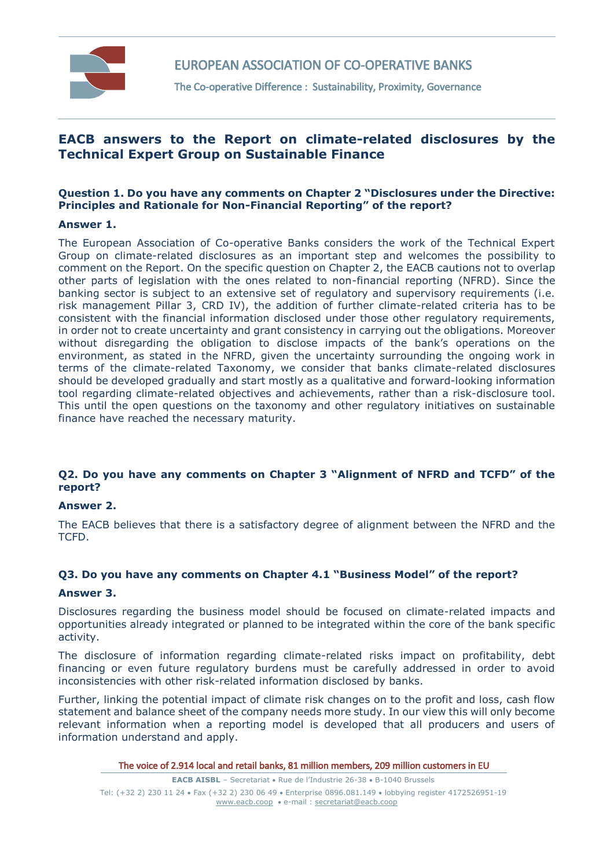

EUROPEAN ASSOCIATION OF CO-OPERATIVE BANKS

The Co-operative Difference : Sustainability, Proximity, Governance

# **EACB answers to the Report on climate-related disclosures by the Technical Expert Group on Sustainable Finance**

# **Question 1. Do you have any comments on Chapter 2 "Disclosures under the Directive: Principles and Rationale for Non-Financial Reporting" of the report?**

# **Answer 1.**

The European Association of Co-operative Banks considers the work of the Technical Expert Group on climate-related disclosures as an important step and welcomes the possibility to comment on the Report. On the specific question on Chapter 2, the EACB cautions not to overlap other parts of legislation with the ones related to non-financial reporting (NFRD). Since the banking sector is subject to an extensive set of regulatory and supervisory requirements (i.e. risk management Pillar 3, CRD IV), the addition of further climate-related criteria has to be consistent with the financial information disclosed under those other regulatory requirements, in order not to create uncertainty and grant consistency in carrying out the obligations. Moreover without disregarding the obligation to disclose impacts of the bank's operations on the environment, as stated in the NFRD, given the uncertainty surrounding the ongoing work in terms of the climate-related Taxonomy, we consider that banks climate-related disclosures should be developed gradually and start mostly as a qualitative and forward-looking information tool regarding climate-related objectives and achievements, rather than a risk-disclosure tool. This until the open questions on the taxonomy and other regulatory initiatives on sustainable finance have reached the necessary maturity.

# **Q2. Do you have any comments on Chapter 3 "Alignment of NFRD and TCFD" of the report?**

#### **Answer 2.**

The EACB believes that there is a satisfactory degree of alignment between the NFRD and the TCFD.

# **Q3. Do you have any comments on Chapter 4.1 "Business Model" of the report?**

#### **Answer 3.**

Disclosures regarding the business model should be focused on climate-related impacts and opportunities already integrated or planned to be integrated within the core of the bank specific activity.

The disclosure of information regarding climate-related risks impact on profitability, debt financing or even future regulatory burdens must be carefully addressed in order to avoid inconsistencies with other risk-related information disclosed by banks.

Further, linking the potential impact of climate risk changes on to the profit and loss, cash flow statement and balance sheet of the company needs more study. In our view this will only become relevant information when a reporting model is developed that all producers and users of information understand and apply.

The voice of 2.914 local and retail banks, 81 million members, 209 million customers in EU

**EACB AISBL** - Secretariat • Rue de l'Industrie 26-38 • B-1040 Brussels Tel: (+32 2) 230 11 24 Fax (+32 2) 230 06 49 Enterprise 0896.081.149 lobbying register 4172526951-19 [www.eacb.coop](http://www.eacb.coop/)  e-mail [: secretariat@eacb.coop](mailto:secretariat@eacb.coop)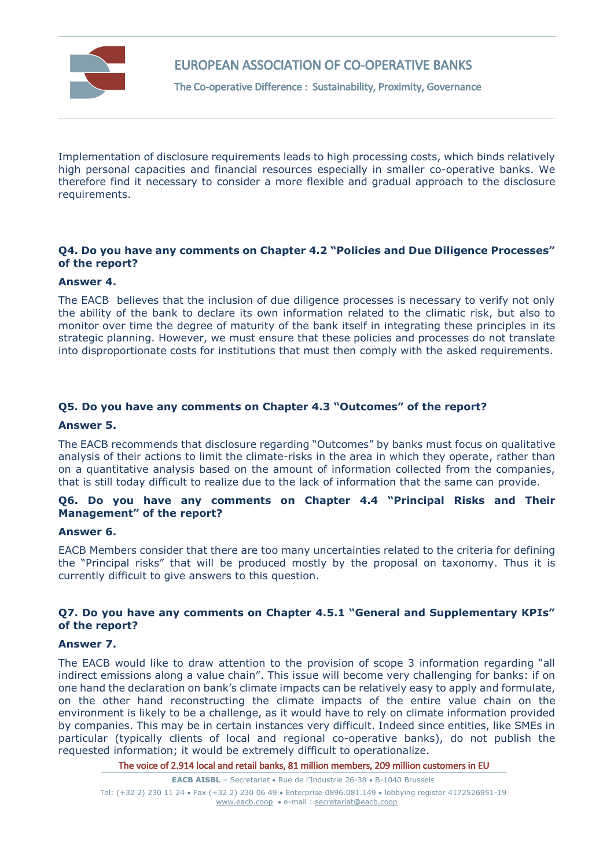

# EUROPEAN ASSOCIATION OF CO-OPERATIVE BANKS

The Co-operative Difference : Sustainability, Proximity, Governance

Implementation of disclosure requirements leads to high processing costs, which binds relatively high personal capacities and financial resources especially in smaller co-operative banks. We therefore find it necessary to consider a more flexible and gradual approach to the disclosure requirements.

# **Q4. Do you have any comments on Chapter 4.2 "Policies and Due Diligence Processes" of the report?**

#### **Answer 4.**

The EACB believes that the inclusion of due diligence processes is necessary to verify not only the ability of the bank to declare its own information related to the climatic risk, but also to monitor over time the degree of maturity of the bank itself in integrating these principles in its strategic planning. However, we must ensure that these policies and processes do not translate into disproportionate costs for institutions that must then comply with the asked requirements.

#### **Q5. Do you have any comments on Chapter 4.3 "Outcomes" of the report?**

#### **Answer 5.**

The EACB recommends that disclosure regarding "Outcomes" by banks must focus on qualitative analysis of their actions to limit the climate-risks in the area in which they operate, rather than on a quantitative analysis based on the amount of information collected from the companies, that is still today difficult to realize due to the lack of information that the same can provide.

### **Q6. Do you have any comments on Chapter 4.4 "Principal Risks and Their Management" of the report?**

#### **Answer 6.**

EACB Members consider that there are too many uncertainties related to the criteria for defining the "Principal risks" that will be produced mostly by the proposal on taxonomy. Thus it is currently difficult to give answers to this question.

# **Q7. Do you have any comments on Chapter 4.5.1 "General and Supplementary KPIs" of the report?**

#### **Answer 7.**

The EACB would like to draw attention to the provision of scope 3 information regarding "all indirect emissions along a value chain". This issue will become very challenging for banks: if on one hand the declaration on bank's climate impacts can be relatively easy to apply and formulate, on the other hand reconstructing the climate impacts of the entire value chain on the environment is likely to be a challenge, as it would have to rely on climate information provided by companies. This may be in certain instances very difficult. Indeed since entities, like SMEs in particular (typically clients of local and regional co-operative banks), do not publish the requested information; it would be extremely difficult to operationalize.

The voice of 2.914 local and retail banks, 81 million members, 209 million customers in EU

**EACB AISBL** - Secretariat • Rue de l'Industrie 26-38 • B-1040 Brussels Tel: (+32 2) 230 11 24 Fax (+32 2) 230 06 49 Enterprise 0896.081.149 lobbying register 4172526951-19 [www.eacb.coop](http://www.eacb.coop/)  e-mail [: secretariat@eacb.coop](mailto:secretariat@eacb.coop)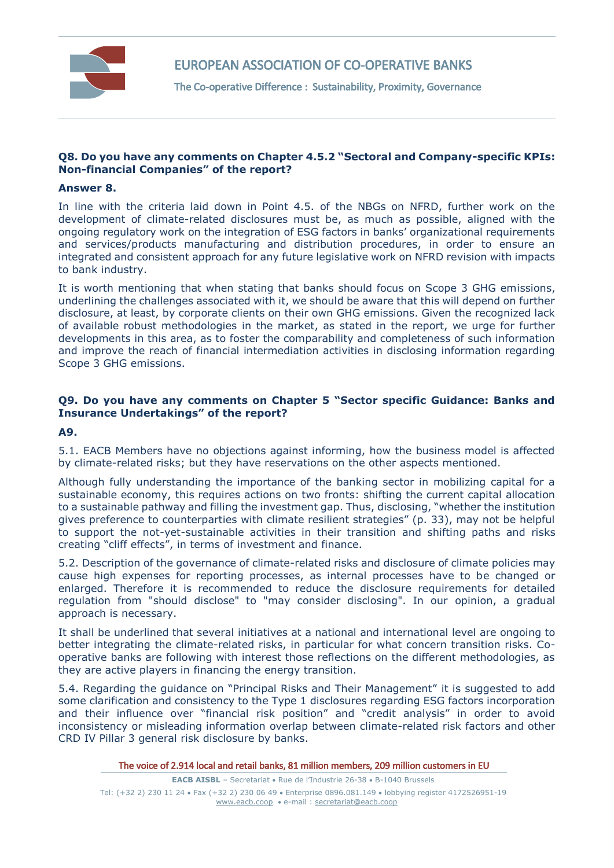

The Co-operative Difference : Sustainability, Proximity, Governance

### **Q8. Do you have any comments on Chapter 4.5.2 "Sectoral and Company-specific KPIs: Non-financial Companies" of the report?**

#### **Answer 8.**

In line with the criteria laid down in Point 4.5. of the NBGs on NFRD, further work on the development of climate-related disclosures must be, as much as possible, aligned with the ongoing regulatory work on the integration of ESG factors in banks' organizational requirements and services/products manufacturing and distribution procedures, in order to ensure an integrated and consistent approach for any future legislative work on NFRD revision with impacts to bank industry.

It is worth mentioning that when stating that banks should focus on Scope 3 GHG emissions, underlining the challenges associated with it, we should be aware that this will depend on further disclosure, at least, by corporate clients on their own GHG emissions. Given the recognized lack of available robust methodologies in the market, as stated in the report, we urge for further developments in this area, as to foster the comparability and completeness of such information and improve the reach of financial intermediation activities in disclosing information regarding Scope 3 GHG emissions.

# **Q9. Do you have any comments on Chapter 5 "Sector specific Guidance: Banks and Insurance Undertakings" of the report?**

### **A9.**

5.1. EACB Members have no objections against informing, how the business model is affected by climate-related risks; but they have reservations on the other aspects mentioned.

Although fully understanding the importance of the banking sector in mobilizing capital for a sustainable economy, this requires actions on two fronts: shifting the current capital allocation to a sustainable pathway and filling the investment gap. Thus, disclosing, "whether the institution gives preference to counterparties with climate resilient strategies" (p. 33), may not be helpful to support the not-yet-sustainable activities in their transition and shifting paths and risks creating "cliff effects", in terms of investment and finance.

5.2. Description of the governance of climate-related risks and disclosure of climate policies may cause high expenses for reporting processes, as internal processes have to be changed or enlarged. Therefore it is recommended to reduce the disclosure requirements for detailed regulation from "should disclose" to "may consider disclosing". In our opinion, a gradual approach is necessary.

It shall be underlined that several initiatives at a national and international level are ongoing to better integrating the climate-related risks, in particular for what concern transition risks. Cooperative banks are following with interest those reflections on the different methodologies, as they are active players in financing the energy transition.

5.4. Regarding the guidance on "Principal Risks and Their Management" it is suggested to add some clarification and consistency to the Type 1 disclosures regarding ESG factors incorporation and their influence over "financial risk position" and "credit analysis" in order to avoid inconsistency or misleading information overlap between climate-related risk factors and other CRD IV Pillar 3 general risk disclosure by banks.

The voice of 2.914 local and retail banks, 81 million members, 209 million customers in EU

**EACB AISBL** - Secretariat . Rue de l'Industrie 26-38 . B-1040 Brussels Tel: (+32 2) 230 11 24 Fax (+32 2) 230 06 49 Enterprise 0896.081.149 lobbying register 4172526951-19 [www.eacb.coop](http://www.eacb.coop/)  e-mail [: secretariat@eacb.coop](mailto:secretariat@eacb.coop)